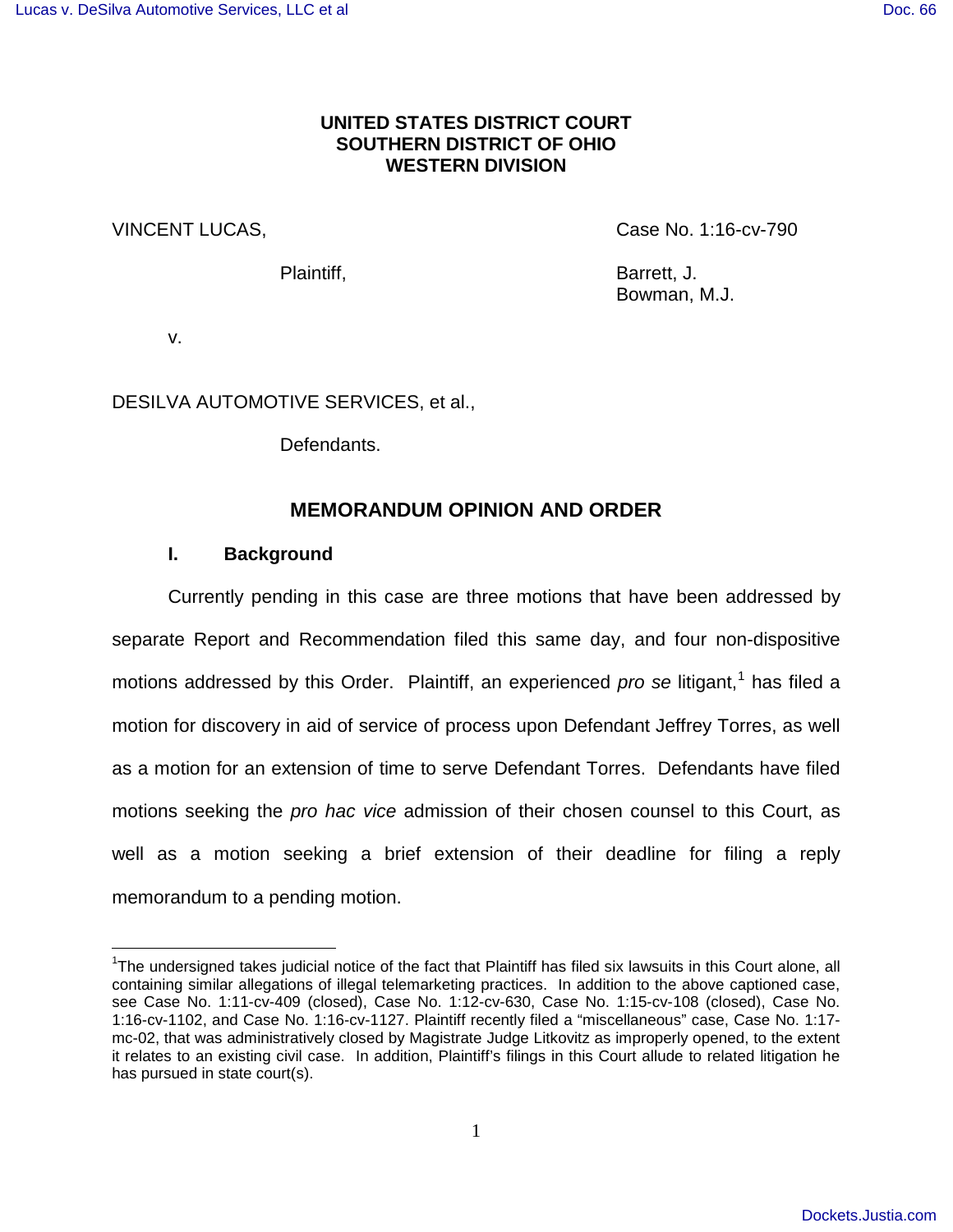# **UNITED STATES DISTRICT COURT SOUTHERN DISTRICT OF OHIO WESTERN DIVISION**

VINCENT LUCAS, Case No. 1:16-cv-790

Plaintiff, Barrett, J. Bowman, M.J.

v.

 $\overline{\phantom{a}}$ 

DESILVA AUTOMOTIVE SERVICES, et al.,

Defendants.

# **MEMORANDUM OPINION AND ORDER**

# **I. Background**

Currently pending in this case are three motions that have been addressed by separate Report and Recommendation filed this same day, and four non-dispositive motions addressed by this Order. Plaintiff, an experienced pro se litigant,<sup>[1](#page-0-0)</sup> has filed a motion for discovery in aid of service of process upon Defendant Jeffrey Torres, as well as a motion for an extension of time to serve Defendant Torres. Defendants have filed motions seeking the pro hac vice admission of their chosen counsel to this Court, as well as a motion seeking a brief extension of their deadline for filing a reply memorandum to a pending motion.

<span id="page-0-0"></span><sup>&</sup>lt;sup>1</sup>The undersigned takes judicial notice of the fact that Plaintiff has filed six lawsuits in this Court alone, all containing similar allegations of illegal telemarketing practices. In addition to the above captioned case, see Case No. 1:11-cv-409 (closed), Case No. 1:12-cv-630, Case No. 1:15-cv-108 (closed), Case No. 1:16-cv-1102, and Case No. 1:16-cv-1127. Plaintiff recently filed a "miscellaneous" case, Case No. 1:17 mc-02, that was administratively closed by Magistrate Judge Litkovitz as improperly opened, to the extent it relates to an existing civil case. In addition, Plaintiff's filings in this Court allude to related litigation he has pursued in state court(s).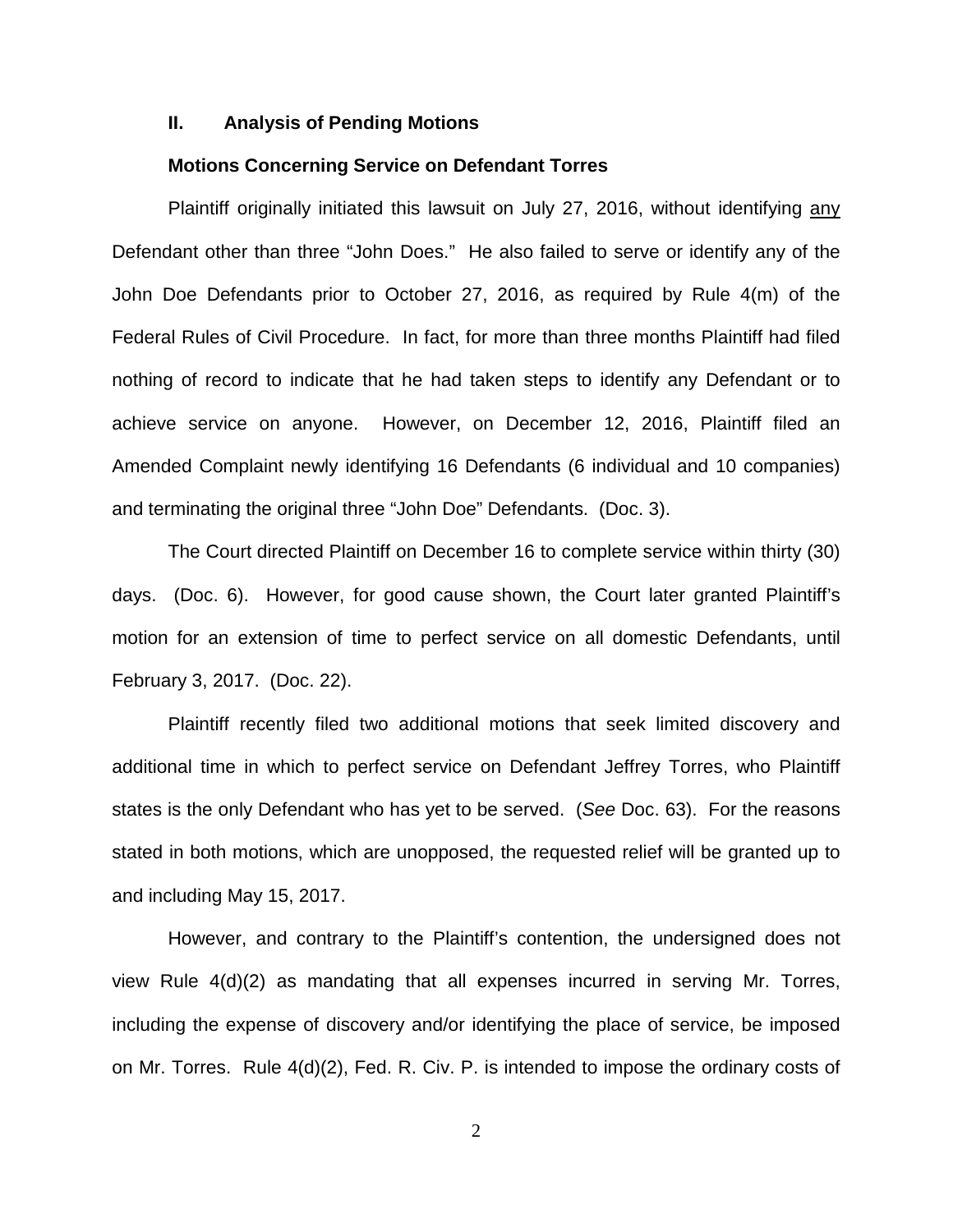#### **II. Analysis of Pending Motions**

### **Motions Concerning Service on Defendant Torres**

Plaintiff originally initiated this lawsuit on July 27, 2016, without identifying any Defendant other than three "John Does." He also failed to serve or identify any of the John Doe Defendants prior to October 27, 2016, as required by Rule 4(m) of the Federal Rules of Civil Procedure. In fact, for more than three months Plaintiff had filed nothing of record to indicate that he had taken steps to identify any Defendant or to achieve service on anyone. However, on December 12, 2016, Plaintiff filed an Amended Complaint newly identifying 16 Defendants (6 individual and 10 companies) and terminating the original three "John Doe" Defendants. (Doc. 3).

The Court directed Plaintiff on December 16 to complete service within thirty (30) days. (Doc. 6). However, for good cause shown, the Court later granted Plaintiff's motion for an extension of time to perfect service on all domestic Defendants, until February 3, 2017. (Doc. 22).

Plaintiff recently filed two additional motions that seek limited discovery and additional time in which to perfect service on Defendant Jeffrey Torres, who Plaintiff states is the only Defendant who has yet to be served. (See Doc. 63). For the reasons stated in both motions, which are unopposed, the requested relief will be granted up to and including May 15, 2017.

However, and contrary to the Plaintiff's contention, the undersigned does not view Rule 4(d)(2) as mandating that all expenses incurred in serving Mr. Torres, including the expense of discovery and/or identifying the place of service, be imposed on Mr. Torres. Rule 4(d)(2), Fed. R. Civ. P. is intended to impose the ordinary costs of

2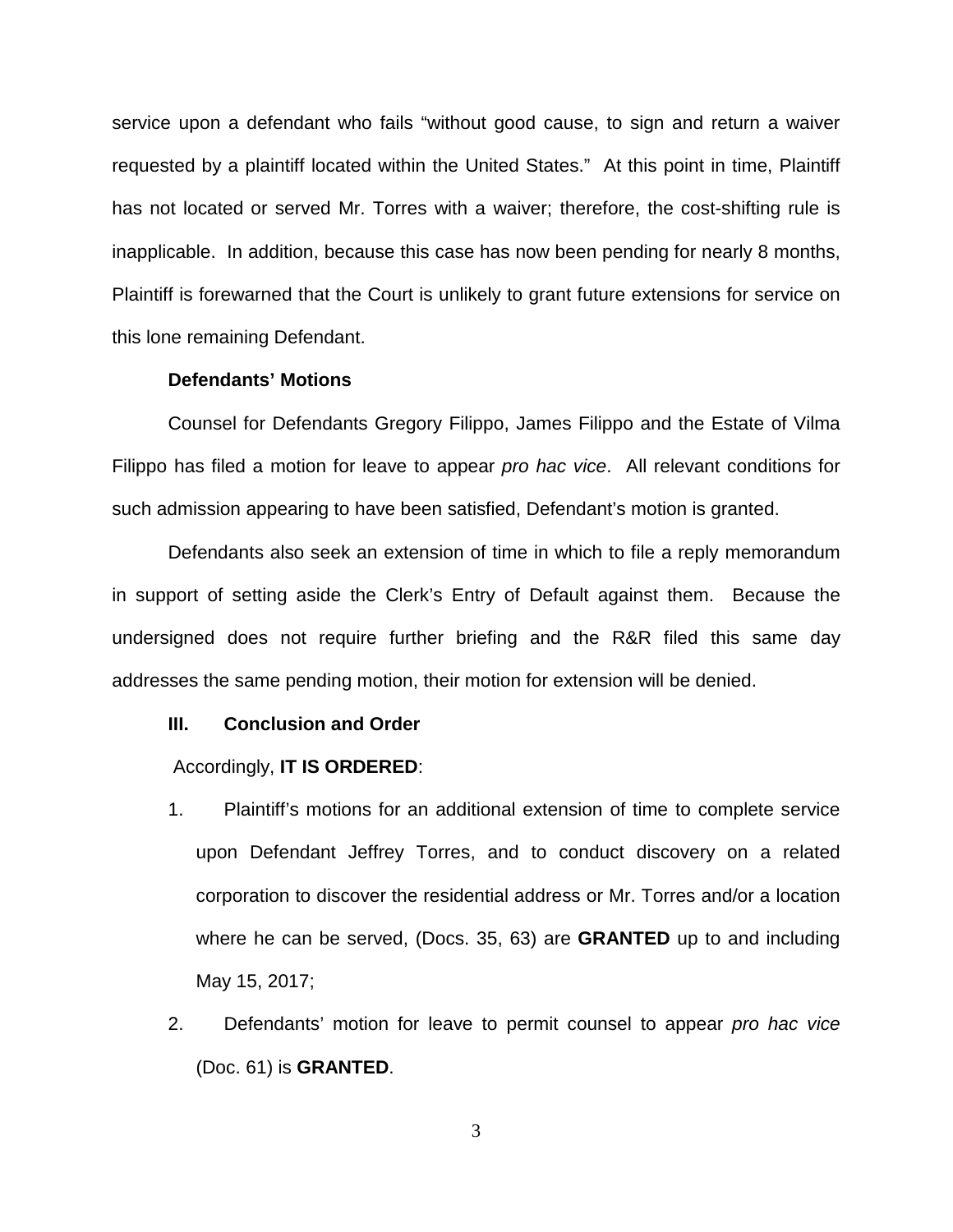service upon a defendant who fails "without good cause, to sign and return a waiver requested by a plaintiff located within the United States." At this point in time, Plaintiff has not located or served Mr. Torres with a waiver; therefore, the cost-shifting rule is inapplicable. In addition, because this case has now been pending for nearly 8 months, Plaintiff is forewarned that the Court is unlikely to grant future extensions for service on this lone remaining Defendant.

## **Defendants' Motions**

Counsel for Defendants Gregory Filippo, James Filippo and the Estate of Vilma Filippo has filed a motion for leave to appear *pro hac vice*. All relevant conditions for such admission appearing to have been satisfied, Defendant's motion is granted.

Defendants also seek an extension of time in which to file a reply memorandum in support of setting aside the Clerk's Entry of Default against them. Because the undersigned does not require further briefing and the R&R filed this same day addresses the same pending motion, their motion for extension will be denied.

#### **III. Conclusion and Order**

#### Accordingly, **IT IS ORDERED**:

- 1. Plaintiff's motions for an additional extension of time to complete service upon Defendant Jeffrey Torres, and to conduct discovery on a related corporation to discover the residential address or Mr. Torres and/or a location where he can be served, (Docs. 35, 63) are **GRANTED** up to and including May 15, 2017;
- 2. Defendants' motion for leave to permit counsel to appear pro hac vice (Doc. 61) is **GRANTED**.

3